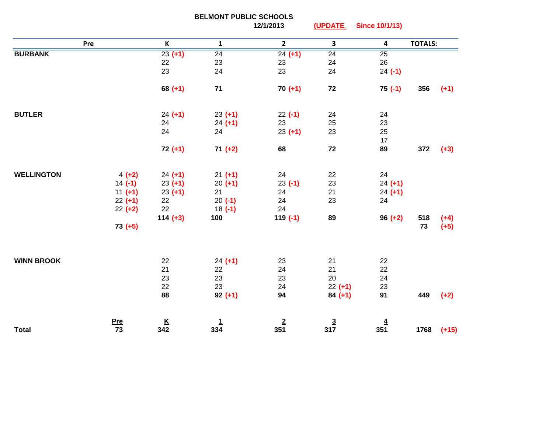|                   |                        | <b>BELMONT PUBLIC SCHOOLS</b> |                 |                 |                 |                         |                |         |
|-------------------|------------------------|-------------------------------|-----------------|-----------------|-----------------|-------------------------|----------------|---------|
|                   |                        |                               |                 | 12/1/2013       | (UPDATE         | <b>Since 10/1/13)</b>   |                |         |
| Pre               |                        | $\mathsf{K}$                  | $\mathbf{1}$    | $\mathbf{2}$    | $\mathbf{3}$    | $\overline{\mathbf{4}}$ | <b>TOTALS:</b> |         |
| <b>BURBANK</b>    |                        | $23(+1)$                      | $\overline{24}$ | $24 (+1)$       | $\overline{24}$ | $\overline{25}$         |                |         |
|                   |                        | 22                            | 23              | 23              | 24              | 26                      |                |         |
|                   |                        | 23                            | 24              | 23              | 24              | $24 (-1)$               |                |         |
|                   |                        | $68 (+1)$                     | $71$            | $70 (+1)$       | 72              | $75(-1)$                | 356            | $(+1)$  |
| <b>BUTLER</b>     |                        | $24 (+1)$                     | $23 (+1)$       | $22(-1)$        | 24              | 24                      |                |         |
|                   |                        | 24                            | $24 (+1)$       | 23              | 25              | 23                      |                |         |
|                   |                        | 24                            | 24              | $23 (+1)$       | 23              | 25                      |                |         |
|                   |                        |                               |                 |                 |                 | $17$                    |                |         |
|                   |                        | $72 (+1)$                     | $71 (+2)$       | 68              | 72              | 89                      | 372            | $(+3)$  |
| <b>WELLINGTON</b> |                        |                               |                 | 24              | 22              | 24                      |                |         |
|                   | $4 (+2)$               | $24 (+1)$                     | $21 (+1)$       | $23 (-1)$       | 23              | $24 (+1)$               |                |         |
|                   | $14 (-1)$<br>$11 (+1)$ | $23 (+1)$<br>$23 (+1)$        | $20 (+1)$<br>21 | 24              | 21              | $24 (+1)$               |                |         |
|                   | $22 (+1)$              | 22                            | $20( -1)$       | 24              | 23              | 24                      |                |         |
|                   | $22 (+2)$              | 22                            | $18( -1)$       | 24              |                 |                         |                |         |
|                   |                        | $114 (+3)$                    | 100             | $119(-1)$       | 89              | $96 (+2)$               | 518            | $(+4)$  |
|                   | $73 (+5)$              |                               |                 |                 |                 |                         | 73             | $(+5)$  |
|                   |                        |                               |                 |                 |                 |                         |                |         |
| <b>WINN BROOK</b> |                        | 22                            | $24 (+1)$       | 23              | 21              | 22                      |                |         |
|                   |                        | 21                            | 22              | 24              | 21              | 22                      |                |         |
|                   |                        | 23                            | 23              | 23              | 20              | 24                      |                |         |
|                   |                        | 22                            | 23              | 24              | $22 (+1)$       | 23                      |                |         |
|                   |                        | 88                            | $92 (+1)$       | 94              | $84 (+1)$       | 91                      | 449            | $(+2)$  |
|                   | <u>Pre</u>             | $rac{K}{342}$                 | $\frac{1}{334}$ | $\frac{2}{351}$ | $\frac{3}{317}$ | $\frac{4}{351}$         |                |         |
| <b>Total</b>      | 73                     |                               |                 |                 |                 |                         | 1768           | $(+15)$ |